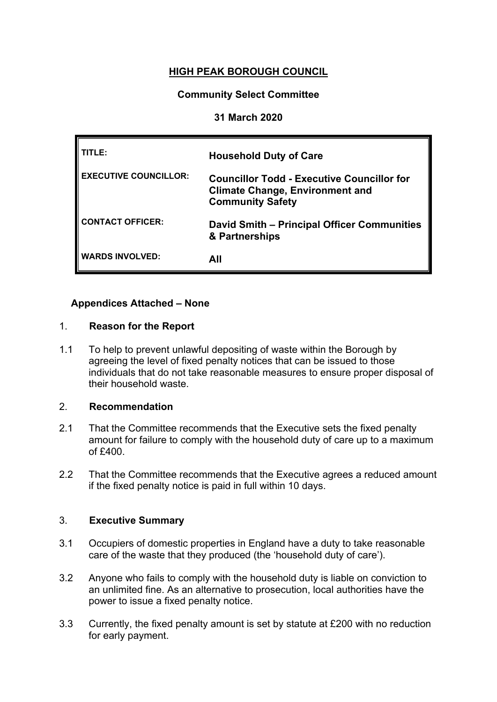# **HIGH PEAK BOROUGH COUNCIL**

#### **Community Select Committee**

#### **31 March 2020**

| TITLE:                       | <b>Household Duty of Care</b>                                                                                          |
|------------------------------|------------------------------------------------------------------------------------------------------------------------|
| <b>EXECUTIVE COUNCILLOR:</b> | <b>Councillor Todd - Executive Councillor for</b><br><b>Climate Change, Environment and</b><br><b>Community Safety</b> |
| <b>CONTACT OFFICER:</b>      | David Smith – Principal Officer Communities<br>& Partnerships                                                          |
| <b>WARDS INVOLVED:</b>       | All                                                                                                                    |

### **Appendices Attached – None**

#### 1. **Reason for the Report**

1.1 To help to prevent unlawful depositing of waste within the Borough by agreeing the level of fixed penalty notices that can be issued to those individuals that do not take reasonable measures to ensure proper disposal of their household waste.

#### 2. **Recommendation**

- 2.1 That the Committee recommends that the Executive sets the fixed penalty amount for failure to comply with the household duty of care up to a maximum of £400.
- 2.2 That the Committee recommends that the Executive agrees a reduced amount if the fixed penalty notice is paid in full within 10 days.

#### 3. **Executive Summary**

- 3.1 Occupiers of domestic properties in England have a duty to take reasonable care of the waste that they produced (the 'household duty of care').
- 3.2 Anyone who fails to comply with the household duty is liable on conviction to an unlimited fine. As an alternative to prosecution, local authorities have the power to issue a fixed penalty notice.
- 3.3 Currently, the fixed penalty amount is set by statute at £200 with no reduction for early payment.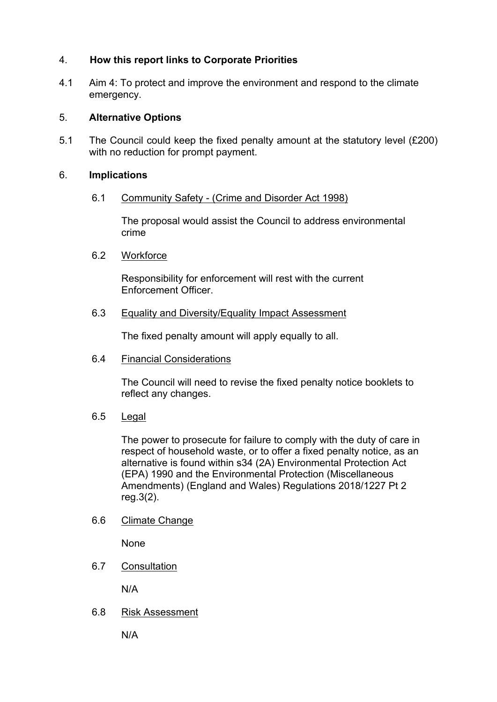# 4. **How this report links to Corporate Priorities**

4.1 Aim 4: To protect and improve the environment and respond to the climate emergency.

## 5. **Alternative Options**

5.1 The Council could keep the fixed penalty amount at the statutory level (£200) with no reduction for prompt payment.

## 6. **Implications**

### 6.1 Community Safety - (Crime and Disorder Act 1998)

The proposal would assist the Council to address environmental crime

### 6.2 Workforce

Responsibility for enforcement will rest with the current Enforcement Officer.

## 6.3 Equality and Diversity/Equality Impact Assessment

The fixed penalty amount will apply equally to all.

### 6.4 Financial Considerations

The Council will need to revise the fixed penalty notice booklets to reflect any changes.

# 6.5 Legal

The power to prosecute for failure to comply with the duty of care in respect of household waste, or to offer a fixed penalty notice, as an alternative is found within s34 (2A) Environmental Protection Act (EPA) 1990 and the Environmental Protection (Miscellaneous Amendments) (England and Wales) Regulations 2018/1227 Pt 2 reg.3(2).

# 6.6 Climate Change

None

6.7 Consultation

N/A

6.8 Risk Assessment

N/A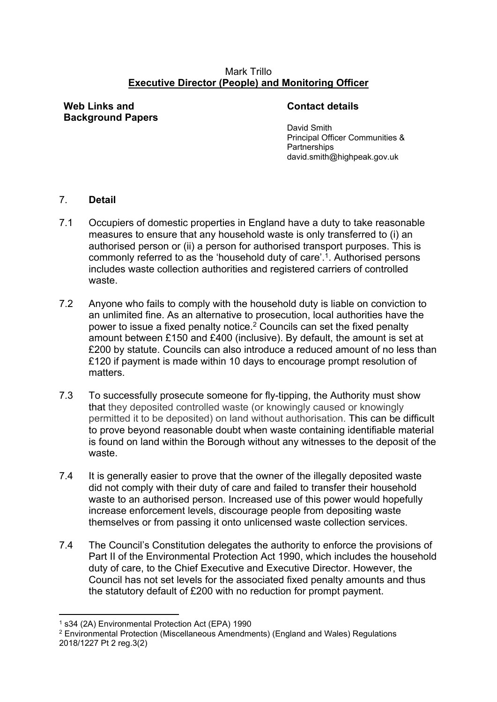### Mark Trillo **Executive Director (People) and Monitoring Officer**

**Web Links and Background Papers**

## **Contact details**

David Smith Principal Officer Communities & **Partnerships** david.smith@highpeak.gov.uk

## 7. **Detail**

- 7.1 Occupiers of domestic properties in England have a duty to take reasonable measures to ensure that any household waste is only transferred to (i) an authorised person or (ii) a person for authorised transport purposes. This is commonly referred to as the 'household duty of care'.<sup>1</sup>. Authorised persons includes waste collection authorities and registered carriers of controlled waste.
- 7.2 Anyone who fails to comply with the household duty is liable on conviction to an unlimited fine. As an alternative to prosecution, local authorities have the power to issue a fixed penalty notice.<sup>2</sup> Councils can set the fixed penalty amount between £150 and £400 (inclusive). By default, the amount is set at £200 by statute. Councils can also introduce a reduced amount of no less than £120 if payment is made within 10 days to encourage prompt resolution of matters.
- 7.3 To successfully prosecute someone for fly-tipping, the Authority must show that they deposited controlled waste (or knowingly caused or knowingly permitted it to be deposited) on land without authorisation. This can be difficult to prove beyond reasonable doubt when waste containing identifiable material is found on land within the Borough without any witnesses to the deposit of the waste.
- 7.4 It is generally easier to prove that the owner of the illegally deposited waste did not comply with their duty of care and failed to transfer their household waste to an authorised person. Increased use of this power would hopefully increase enforcement levels, discourage people from depositing waste themselves or from passing it onto unlicensed waste collection services.
- 7.4 The Council's Constitution delegates the authority to enforce the provisions of Part II of the Environmental Protection Act 1990, which includes the household duty of care, to the Chief Executive and Executive Director. However, the Council has not set levels for the associated fixed penalty amounts and thus the statutory default of £200 with no reduction for prompt payment.

<sup>1</sup> s34 (2A) Environmental Protection Act (EPA) 1990

<sup>2</sup> Environmental Protection (Miscellaneous Amendments) (England and Wales) Regulations 2018/1227 Pt 2 reg.3(2)